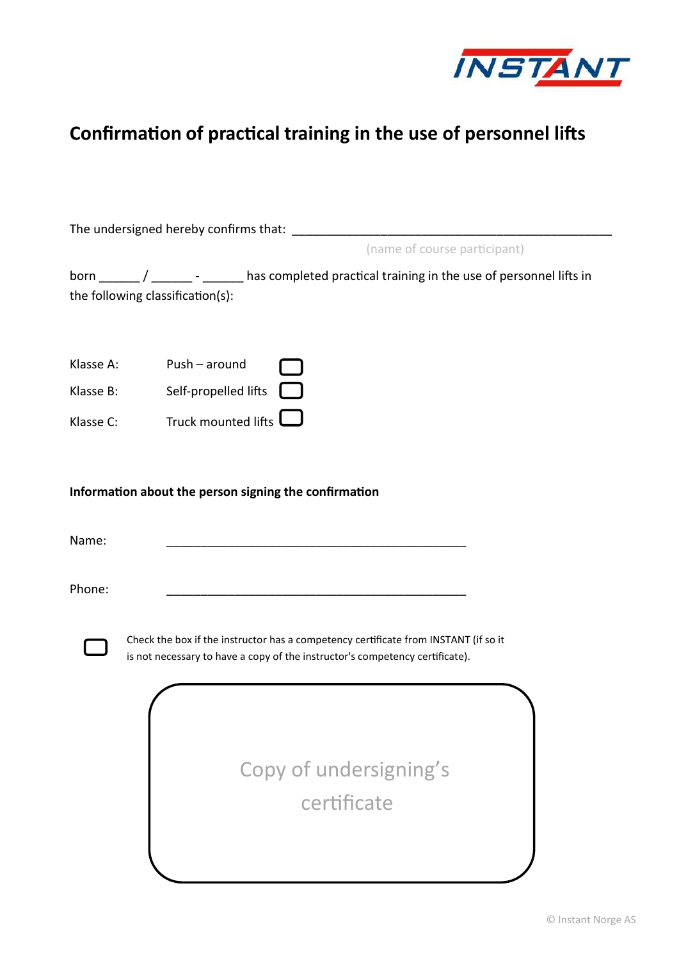

## **Confirmation of practical training in the use of personnel lifts**

|                        | The undersigned hereby confirms that:                                                                                                                               |
|------------------------|---------------------------------------------------------------------------------------------------------------------------------------------------------------------|
|                        | (name of course participant)                                                                                                                                        |
|                        | born _____/ ______ - ______ has completed practical training in the use of personnel lifts in<br>the following classification(s):                                   |
| Klasse A:<br>Klasse B: | Push - around<br>Self-propelled lifts                                                                                                                               |
| Klasse C:              | Truck mounted lifts                                                                                                                                                 |
|                        | Information about the person signing the confirmation                                                                                                               |
| Name:                  | <u> 2000 - Jan James James James James James James James James James James James James James James James James J</u>                                                |
| Phone:                 |                                                                                                                                                                     |
|                        | Check the box if the instructor has a competency certificate from INSTANT (if so it<br>is not necessary to have a copy of the instructor's competency certificate). |
|                        | Copy of undersigning's<br>certificate                                                                                                                               |